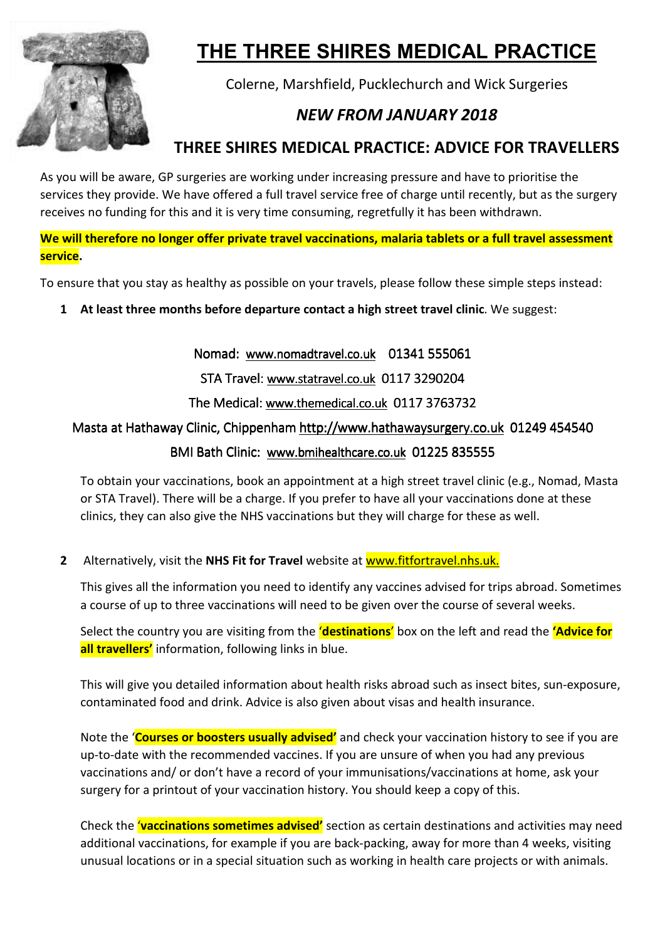

# **THE THREE SHIRES MEDICAL PRACTICE**

Colerne, Marshfield, Pucklechurch and Wick Surgeries

# *NEW FROM JANUARY 2018*

## **THREE SHIRES MEDICAL PRACTICE: ADVICE FOR TRAVELLERS**

As you will be aware, GP surgeries are working under increasing pressure and have to prioritise the services they provide. We have offered a full travel service free of charge until recently, but as the surgery receives no funding for this and it is very time consuming, regretfully it has been withdrawn.

**We will therefore no longer offer private travel vaccinations, malaria tablets or a full travel assessment service.** 

To ensure that you stay as healthy as possible on your travels, please follow these simple steps instead:

**1 At least three months before departure contact a high street travel clinic**. We suggest:

Nomad: www.nomadtravel.co.uk 01341 555061

STA Travel: www.statravel.co.uk 0117 3290204

The Medical: www.themedical.co.uk 0117 3763732

### Masta at Hathaway Clinic, Chippenham http://www.hathawaysurgery.co.uk 01249 454540

#### BMI Bath Clinic: www.bmihealthcare.co.uk 01225 835555 I

To obtain your vaccinations, book an appointment at a high street travel clinic (e.g., Nomad, Masta or STA Travel). There will be a charge. If you prefer to have all your vaccinations done at these clinics, they can also give the NHS vaccinations but they will charge for these as well.

**2** Alternatively, visit the **NHS Fit for Travel** website at www.fitfortravel.nhs.uk.

This gives all the information you need to identify any vaccines advised for trips abroad. Sometimes a course of up to three vaccinations will need to be given over the course of several weeks.

Select the country you are visiting from the '**destinations**' box on the left and read the **'Advice for all travellers'** information, following links in blue.

This will give you detailed information about health risks abroad such as insect bites, sun-exposure, contaminated food and drink. Advice is also given about visas and health insurance.

Note the '**Courses or boosters usually advised'** and check your vaccination history to see if you are up-to-date with the recommended vaccines. If you are unsure of when you had any previous vaccinations and/ or don't have a record of your immunisations/vaccinations at home, ask your surgery for a printout of your vaccination history. You should keep a copy of this.

Check the '**vaccinations sometimes advised'** section as certain destinations and activities may need additional vaccinations, for example if you are back-packing, away for more than 4 weeks, visiting unusual locations or in a special situation such as working in health care projects or with animals.